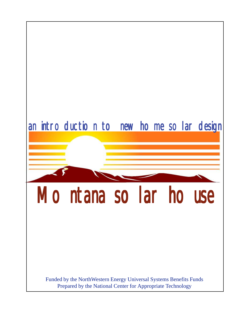# Montana solar house an introduction to new home solar design Funded by the NorthWestern Energy Universal Systems Benefits Funds Prepared by the National Center for Appropriate Technology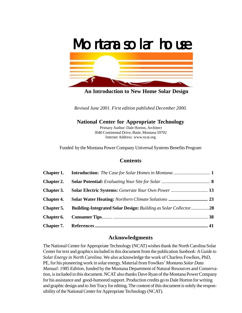

**An Introduction to New Home Solar Design**

*Revised June 2001. First edition published December 2000.*

# **National Center for Appropriate Technology**

 Primary Author: Dale Horton, Architect 3040 Continental Drive, Butte, Montana 59702 Internet Address: www.ncat.org

Funded by the Montana Power Company Universal Systems Benefits Program

# **Contents**

| Chapter 1.        |                                                                        |    |
|-------------------|------------------------------------------------------------------------|----|
| <b>Chapter 2.</b> |                                                                        |    |
| Chapter 3.        |                                                                        |    |
| <b>Chapter 4.</b> |                                                                        |    |
| Chapter 5.        | <b>Building-Integrated Solar Design: Building as Solar Collector28</b> |    |
| Chapter 6.        |                                                                        |    |
|                   |                                                                        | 41 |

# **Acknowledgments**

The National Center for Appropriate Technology (NCAT) wishes thank the North Carolina Solar Center for text and graphics included in this document from the publication *Sunbook: A Guide to Solar Energy in North Carolina*. We also acknowledge the work of Charless Fowlkes, PhD, PE, for his pioneering work in solar energy. Material from Fowlkes' *Montana Solar Data Manual: 1985 Edition*, funded by the Montana Department of Natural Resources and Conservation, is included in this document. NCAT also thanks Dave Ryan of the Montana Power Company for his assistance and good-humored support. Production credits go to Dale Horton for writing and graphic design and to Jim Tracy for editing. The content of this document is solely the responsibility of the National Center for Appropriate Technology (NCAT).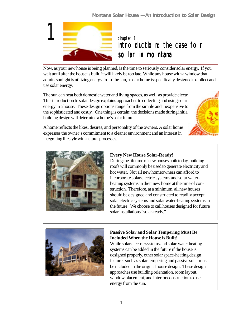

introduction: the case for solar in montana

Now, as your new house is being planned, is the time to seriously consider solar energy. If you wait until after the house is built, it will likely be too late. While any house with a window that admits sunlight is utilizing energy from the sun, a solar home is specifically designed to collect and use solar energy.

The sun can heat both domestic water and living spaces, as well as provide electri This introduction to solar design explains approaches to collecting and using solar energy in a house. These design options range from the simple and inexpensive to the sophisticated and costly. One thing is certain: the decisions made during initial building design will determine a home's solar future.



A home reflects the likes, desires, and personality of the owners. A solar home expresses the owner's commitment to a cleaner environment and an interest in integrating lifestyle with natural processes.



# **Every New House Solar-Ready!**

During the lifetime of new houses built today, building roofs will commonly be used to generate electricity and hot water. Not all new homeowners can afford to incorporate solar electric systems and solar waterheating systems in their new home at the time of construction. Therefore, at a minimum, all new houses should be designed and constructed to readily accept solar electric systems and solar water-heating systems in the future. We choose to call houses designed for future solar installations "solar-ready."



# **Passive Solar and Solar Tempering Must Be Included When the House is Built!**

While solar electric systems and solar-water heating systems can be added in the future if the house is designed properly, other solar space-heating design features such as solar tempering and passive solar must be included in the original house design. These design approaches use building orientation, room layout, window placement, and interior construction to use energy from the sun.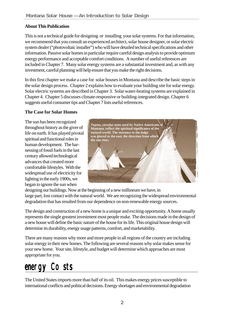# **About This Publication**

This is not a technical guide for designing or installing your solar systems. For that information, we recommend that you consult an experienced architect, solar house designer, or solar electric system dealer ("photovoltaic installer") who will have detailed technical specifications and other information. Passive solar homes in particular require careful design analysis to provide optimum energy performance and acceptable comfort conditions. A number of useful references are included in Chapter 7. Many solar energy systems are a substantial investment and, as with any investment, careful planning will help ensure that you make the right decisions.

In this first chapter we make a case for solar houses in Montana and describe the basic steps in the solar design process. Chapter 2 explains how to evaluate your building site for solar energy. Solar electric systems are described in Chapter 3. Solar water-heating systems are explained in Chapter 4. Chapter 5 discusses climate-responsive or building-integrated design. Chapter 6 suggests useful consumer tips and Chapter 7 lists useful references.

# **The Case for Solar Homes**

The sun has been recognized throughout history as the giver of life on earth. It has played pivotal spiritual and functional roles in human development. The harnessing of fossil fuels in the last century allowed technological advances that created more comfortable lifestyles. With the widespread use of electricity for lighting in the early 1900s, we began to ignore the sun when



designing our buildings. Now at the beginning of a new millineum we have, in large part, lost contact with the natural world. We are recognizing the widespread environmental degradation that has resulted from our dependence on non-renewable energy sources.

The design and construction of a new home is a unique and exciting opportunity. A home usually represents the single greatest investment most people make. The decisions made in the design of a new house will define the basic nature of the house for its life. This original house design will determine its durability, energy usage patterns, comfort, and marketability.

There are many reasons why more and more people in all regions of the country are including solar energy in their new homes. The following are several reasons why solar makes sense for your new home. Your site, lifestyle, and budget will determine which approaches are most appropriate for you.

# energy Costs

The United States imports more than half of its oil. This makes energy prices susceptible to international conflicts and political decisions. Energy shortages and environmental degradation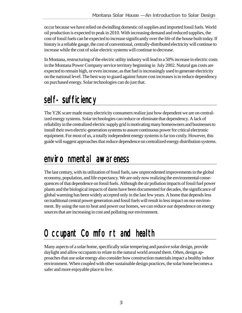occur because we have relied on dwindling domestic oil supplies and imported fossil fuels. World oil production is expected to peak in 2010. With increasing demand and reduced supplies, the cost of fossil fuels can be expected to increase significantly over the life of the house built today. If history is a reliable gauge, the cost of conventional, centrally-distributed electricity will continue to increase while the cost of solar electric systems will continue to decrease.

In Montana, restructuring of the electric utility industry will lead to a 50% increase in electric costs in the Montana Power Company service territory beginning in July 2002. Natural gas costs are expected to remain high, or even increase, as that fuel is increasingly used to generate electricity on the national level. The best way to guard against future cost increases is to reduce dependency on purchased energy. Solar technologies can do just that.

# self-sufficiency

The Y2K scare made many electricity consumers realize just how dependent we are on centralized energy systems. Solar technologies can reduce or eliminate that dependency. A lack of reliability in the centralized electric supply grid is motivating many homeowners and businesses to install their own electric-generation systems to assure continuous power for critical electronic equipment. For most of us, a totally independent energy systems is far too costly. However, this guide will suggest approaches that reduce dependence on centralized energy distribution systems.

# $envir<sub>o</sub> nmental *awareness*$

The last century, with its utilization of fossil fuels, saw unprecedented improvements in the global economy, population, and life expectancy. We are only now realizing the environmental consequences of that dependence on fossil fuels. Although the air pollution impacts of fossil fuel power plants and the biological impacts of dams have been documented for decades, the significance of global warming has been widely accepted only in the last few years. A home that depends less on traditional central power generation and fossil fuels will result in less impact on our environment. By using the sun to heat and power our homes, we can reduce our dependence on energy sources that are increasing in cost and polluting our environment.

# Occupant Comfort and health

Many aspects of a solar home, specifically solar tempering and passive solar design, provide daylight and allow occupants to relate to the natural world around them. Often, design approaches that use solar energy also consider how construction materials impact a healthy indoor environment. When coupled with other sustainable design practices, the solar home becomes a safer and more enjoyable place to live.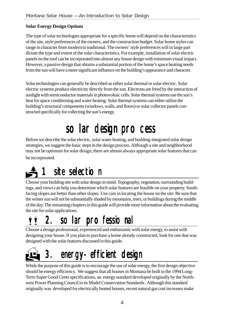# **Solar Energy Design Options**

The type of solar technologies appropriate for a specific home will depend on the characteristics of the site, style preferences of the owners, and the construction budget. Solar home styles can range in character from modern to traditional. The owners' style preferences will in large part dictate the type and extent of the solar characteristics. For example, installation of solar electric panels on the roof can be incorporated into almost any house design with minimum visual impact. However, a passive design that obtains a substantial portion of the home's space heating needs from the sun will have a more significant influence on the building's appearance and character.

Solar technologies can generally be described as either solar thermal or solar electric. Solar electric systems produce electricity directly from the sun. Electrons are freed by the interaction of sunlight with semiconductor materials in photovoltaic cells. Solar thermal systems use the sun's heat for space conditioning and water heating. Solar thermal systems can either utilize the building's structural components (windows, walls, and floors) or solar collector panels constructed specifically for collecting the sun's energy.

# solar design process

Before we describe the solar electric, solar water heating, and building-integrated solar design strategies, we suggest the basic steps in the design process. Although a site and neighborhood may not be optimum for solar design, there are almost always appropriate solar features that can be incorporated.

# site selection

Choose your building site with solar design in mind. Topography, vegetation, surrounding buildings, and views can help you determine which solar features are feasible on your property. Southfacing slopes are better than other slopes. Use care in locating the house on the site. Be sure that the winter sun will not be substantially shaded by mountains, trees, or buildings during the middle of the day. The remaining chapters in this guide will provide more information about the evaluating the site for solar applications.

# 2. solar professional

Choose a design professional, experienced and enthusiastic with solar energy, to assist with designing your house. If you plan to purchase a home already constructed, look for one that was designed with the solar features discussed in this guide.



# 3. energy-efficient design

While the purpose of this guide is to encourage the use of solar energy, the first design objective should be energy efficiency. We suggest that all houses in Montana be built to the 1994 Long-Term Super Good Cents specifications, an energy standard developed originally by the Northwest Power Planning Council in its Model Conservation Standards. Although this standard originally was developed for electrically heated houses, recent natural gas cost increases make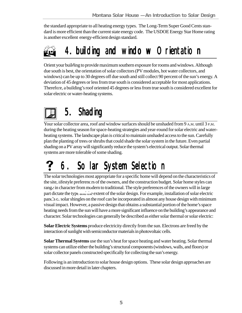the standard appropriate to all heating energy types. The Long-Term Super Good Cents standard is more efficient than the current state energy code. The USDOE Energy Star Home rating is another excellent energy-efficient design standard.

# 4. building and window Orientation

Orient your building to provide maximum southern exposure for rooms and windows. Although due south is best, the orientation of solar collectors (PV modules, hot water collectors, and windows) can be up to 30 degrees off due south and still collect 90 percent of the sun's energy. A deviation of 45 degrees or less from true south is considered acceptable for most applications. Therefore, a building's roof oriented 45 degrees or less from true south is considered excellent for solar electric or water-heating systems.

# 5. Shading

Your solar collector area, roof and window surfaces should be unshaded from 9 A.M. until 3 P.M. during the heating season for space-heating strategies and year-round for solar electric and waterheating systems. The landscape plan is critical to maintain unshaded access to the sun. Carefully plan the planting of trees or shrubs that could shade the solar system in the future. Even partial shading on a PV array will significantly reduce the system's electrical output. Solar thermal systems are more tolerable of some shading.

# 6. Solar System Selection

The solar technologies most appropriate for a specific home will depend on the characteristics of the site, lifestyle preferences of the owners, and the construction budget. Solar home styles can range in character from modern to traditional. The style preferences of the owners will in large part dictate the type and the extent of the solar design. For example, installation of solar electric panels or solar shingles on the roof can be incorporated in almost any house design with minimum visual impact. However, a passive design that obtains a substantial portion of the home's space heating needs from the sun will have a more significant influence on the building's appearance and character. Solar technologies can generally be described as either solar thermal or solar electric:

**Solar Electric Systems** produce electricity directly from the sun. Electrons are freed by the interaction of sunlight with semiconductor materials in photovoltaic cells.

**Solar Thermal Systems** use the sun's heat for space heating and water heating. Solar thermal systems can utilize either the building's structural components (windows, walls, and floors) or solar collector panels constructed specifically for collecting the sun's energy.

Following is an introduction to solar house design options. These solar design approaches are discussed in more detail in later chapters.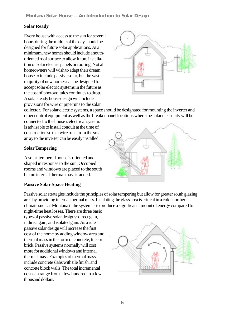# **Solar Ready**

Every house with access to the sun for several hours during the middle of the day should be designed for future solar applications. At a minimum, new homes should include a southoriented roof surface to allow future installation of solar electric panels or roofing. Not all homeowners will wish to adapt their dream house to include passive solar, but the vast majority of new homes can be designed to accept solar electric systems in the future as the cost of photovoltaics continues to drop. A solar-ready house design will include provisions for wire or pipe runs to the solar



collector. For solar electric systems, a space should be designated for mounting the inverter and other control equipment as well as the breaker panel locations where the solar electricity will be

connected to the house's electrical system. is advisable to install conduit at the time of construction so that wire runs from the solar array to the inverter can be easily installed.

# **Solar Tempering**

A solar-tempered house is oriented and shaped in response to the sun. Occupied rooms and windows are placed to the south, but no internal thermal mass is added.

### **Passive Solar Space Heating**

Passive solar strategies include the principles of solar tempering but allow for greater south glazing area by providing internal thermal mass. Insulating the glass area is critical in a cold, northern climate such as Montana if the system is to produce a significant amount of energy compared to

night-time heat losses. There are three basic types of passive solar designs: direct gain, indirect gain, and isolated gain. As a rule passive solar design will increase the first cost of the home by adding window area and thermal mass in the form of concrete, tile, or brick. Passive systems normally will cost more for additional windows and internal thermal mass. Examples of thermal mass include concrete slabs with tile finish, and concrete block walls. The total incremental cost can range from a few hundred to a few thousand dollars.



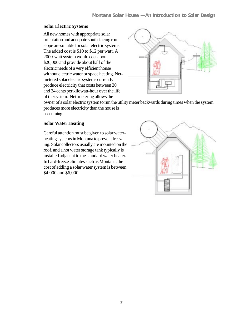# **Solar Electric Systems**

All new homes with appropriate solar orientation and adequate south-facing roof slope are suitable for solar electric systems. The added cost is \$10 to \$12 per watt. A 2000-watt system would cost about \$20,000 and provide about half of the electric needs of a very efficient house without electric water or space heating. Netmetered solar electric systems currently produce electricity that costs between 20 and 24 cents per kilowatt-hour over the life of the system. Net-metering allows the



owner of a solar electric system to run the utility meter backwards during times when the system produces more electricity than the house is consuming.

# **Solar Water Heating**

Careful attention must be given to solar waterheating systems in Montana to prevent freezing. Solar collectors usually are mounted on the roof, and a hot water storage tank typically is installed adjacent to the standard water heater. In hard-freeze climates such as Montana, the cost of adding a solar water system is between \$4,000 and \$6,000.

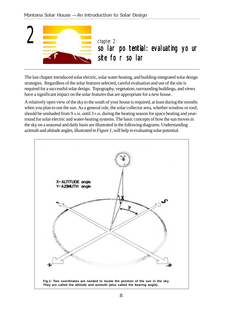

The last chapter introduced solar electric, solar water heating, and building-integrated solar design strategies. Regardless of the solar features selected, careful evaluation and use of the site is required for a successful solar design. Topography, vegetation, surrounding buildings, and views have a significant impact on the solar features that are appropriate for a new house.

A relatively open view of the sky to the south of your house is required, at least during the months when you plan to use the sun. As a general rule, the solar collector area, whether window or roof, should be unshaded from 9 A.M. until 3 P.M. during the heating season for space heating and yearround for solar electric and water-heating systems. The basic concepts of how the sun moves in the sky on a seasonal and daily basis are illustrated in the following diagrams. Understanding azimuth and altitude angles, illustrated in *Figure 1,* will help in evaluating solar potential.

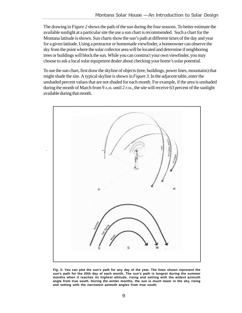The drawing in *Figure 2* shows the path of the sun during the four seasons. To better estimate the available sunlight at a particular site the use a sun chart is recommended. Such a chart for the Montana latitude is shown. Sun charts show the sun's path at different times of the day and year for a given latitude. Using a protractor or homemade viewfinder, a homeowner can observe the sky from the point where the solar collector area will be located and determine if neighboring trees or buildings will block the sun. While you can construct your own viewfinder, you may choose to ask a local solar equipment dealer about checking your home's solar potential.

To use the sun chart, first draw the skyline of objects (tree, buildings, power lines, mountains) that might shade the site. A typical skyline is shown in *Figure 3*. In the adjacent table, enter the unshaded percent values that are not shaded for each month. For example, if the area is unshaded during the month of March from 9 A.M. until 2 P.M., the site will receive 63 percent of the sunlight available during that month.



**Fig. 2: You can plot the sun's path for any day of the year. The lines shown represent the sun's path for the 20th day of each month. The sun's path is longest during the summer months when it reaches its highest altitude, rising and setting with the widest azimuth angle from true south. During the winter months, the sun is much lower in the sky, rising and setting with the narrowest azimuth angles from true south.**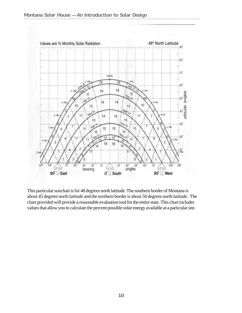

This particular sunchart is for 48 degrees north latitude. The southern border of Montana is about 45 degrees north latitude and the northern border is about 50 degrees north latitude. The chart provided will provide a reasonable evaluation tool for the entire state. This chart includes values that allow you to calculate the percent possible solar energy available at a particular site.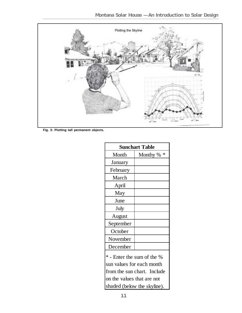

**Fig. 3: Plotting tall permanent objects.**

| <b>Sunchart Table</b>       |               |  |  |
|-----------------------------|---------------|--|--|
| Month                       | ∗<br>Monthy % |  |  |
| January                     |               |  |  |
| February                    |               |  |  |
| March                       |               |  |  |
| April                       |               |  |  |
| May                         |               |  |  |
| June                        |               |  |  |
| July                        |               |  |  |
| August                      |               |  |  |
| September                   |               |  |  |
| October                     |               |  |  |
| November                    |               |  |  |
| December                    |               |  |  |
| * - Enter the sum of the %  |               |  |  |
| sun values for each month   |               |  |  |
| from the sun chart. Include |               |  |  |
| on the values that are not  |               |  |  |
| shaded (below the skyline). |               |  |  |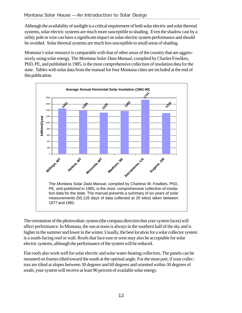Although the availability of sunlight is a critical requirement of both solar electric and solar thermal systems, solar electric systems are much more susceptible to shading. Even the shadow cast by a utility pole or wire can have a significant impact on solar electric system performance and should be avoided. Solar thermal systems are much less susceptible to small areas of shading.

Montana's solar resource is comparable with that of other areas of the country that are aggressively using solar energy. The *Montana Solar Data Manual*, complied by Charles Fowlkes, PhD, PE, and published in 1985, is the most comprehensive collection of insolation data for the state. Tables with solar data from the manual for four Montana cities are included at the end of this publication.



The orientation of the photovoltaic system (the compass direction that your system faces) will affect performance. In Montana, the sun at noon is always in the southern half of the sky and is higher in the summer and lower in the winter. Usually, the best location for a solar collector system is a south-facing roof or wall. Roofs that face east or west may also be acceptable for solar electric systems, although the performance of the system will be reduced.

Flat roofs also work well for solar electric and solar water-heating collectors. The panels can be mounted on frames tilted toward the south at the optimal angle. For the most part, if your collectors are tilted at slopes between 30 degrees and 60 degrees and oriented within 30 degrees of south, your system will receive at least 90 percent of available solar energy.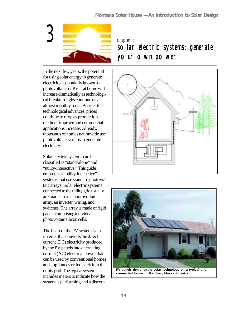

# solar electric systems: generate your own power

In the next few years, the potential for using solar energy to generate electricity—popularly known as photovoltaics or PV—at home will increase dramatically as technological breakthroughs continue on an almost monthly basis. Besides the technological advances, prices continue to drop as production methods improve and commercial applications increase. Already, thousands of homes nationwide use photovoltaic systems to generate electricity.

Solar electric systems can be classified as "stand-alone" and "utility-interactive." This guide emphasizes "utility-interactive" systems that use standard photovoltaic arrays. Solar electric systems connected to the utility grid usually are made up of a photovoltaic array, an inverter, wiring, and switches. The array is made of rigid panels comprising individual photovoltaic silicon cells.

The heart of the PV system is an inverter that converts the direct current (DC) electricity produced by the PV panels into alternating current (AC) electrical power that can be used by conventional homes and appliances or fed back into the utility grid. The typical system includes meters to indicate how the system is performing and a discon-





**PV panels demonstrate solar technology on a typical gridconnected home in Gardner, Massachusetts.**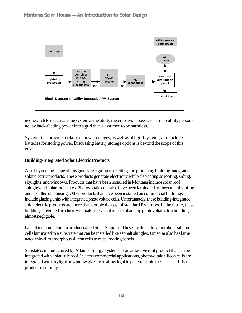

nect switch to deactivate the system at the utility meter to avoid possible harm to utility personnel by back-feeding power into a grid that is assumed to be harmless.

Systems that provide backup for power outages, as well as off-grid systems, also include batteries for storing power. Discussing battery storage options is beyond the scope of this guide.

### **Building-Integrated Solar Electric Products**

Also beyond the scope of this guide are a group of exciting and promising building-integrated solar electric products. These products generate electricity while also acting as roofing, siding, skylights, and windows. Products that have been installed in Montana include solar roof shingles and solar roof slates. Photovoltaic cells also have been laminated to sheet metal roofing and installed on housing. Other products that have been installed on commercial buildings include glazing units with integrated photovoltaic cells. Unfortunately, these building-integrated solar electric products are more than double the cost of standard PV arrays. In the future, these building-integrated products will make the visual impact of adding photovoltaics to a building almost negligible.

Unisolar manufactures a product called Solar Shingles. These are thin-film amorphous silicon cells laminated to a substrate that can be installed like asphalt shingles. Unisolar also has laminated thin-film amorphous silicon cells to metal roofing panels.

Sunslates, manufactured by Atlantis Energy Systems, is an attractive roof product that can be integrated with a slate tile roof. In a few commercial applications, photovoltaic silicon cells are integrated with skylight or window glazing to allow light to penetrate into the space and also produce electricity.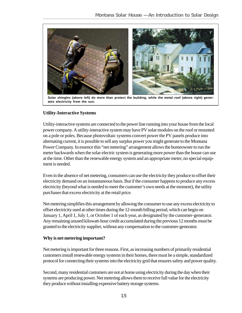

**Solar shingles (above left) do more than protect the building, while the metal roof (above right) generates electricity from the sun.**

# **Utility-Interactive Systems**

Utility-interactive systems are connected to the power line running into your house from the local power company. A utility-interactive system may have PV solar modules on the roof or mounted on a pole or poles. Because photovoltaic systems convert power the PV panels produce into alternating current, it is possible to sell any surplus power you might generate to the Montana Power Company. In essence this "net metering" arrangement allows the homeowner to run the meter backwards when the solar electric system is generating more power than the house can use at the time. Other than the renewable energy system and an appropriate meter, no special equipment is needed.

Even in the absence of net metering, consumers can use the electricity they produce to offset their electricity demand on an instantaneous basis. But if the consumer happens to produce any excess electricity (beyond what is needed to meet the customer's own needs at the moment), the utility purchases that excess electricity at the retail price.

Net metering simplifies this arrangement by allowing the consumer to use any excess electricity to offset electricity used at other times during the 12-month billing period, which can begin on January 1, April 1, July 1, or October 1 of each year, as designated by the customer-generator. Any remaining unused kilowatt-hour credit accumulated during the previous 12 months must be granted to the electricity supplier, without any compensation to the customer-generator.

### **Why is net metering important?**

Net metering is important for three reasons. First, as increasing numbers of primarily residential customers install renewable energy systems in their homes, there must be a simple, standardized protocol for connecting their systems into the electricity grid that ensures safety and power quality.

Second, many residential customers are not at home using electricity during the day when their systems are producing power. Net metering allows them to receive full value for the electricity they produce without installing expensive battery storage systems.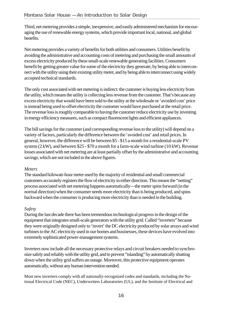Third, net metering provides a simple, inexpensive, and easily administered mechanism for encouraging the use of renewable energy systems, which provide important local, national, and global benefits.

Net metering provides a variety of benefits for both utilities and consumers. Utilities benefit by avoiding the administrative and accounting costs of metering and purchasing the small amounts of excess electricity produced by these small-scale renewable generating facilities. Consumers benefit by getting greater value for some of the electricity they generate, by being able to interconnect with the utility using their existing utility meter, and by being able to interconnect using widely accepted technical standards.

The only cost associated with net metering is indirect: the customer is buying less electricity from the utility, which means the utility is collecting less revenue from the customer. That's because any excess electricity that would have been sold to the utility at the wholesale or 'avoided cost' price is instead being used to offset electricity the customer would have purchased at the retail price. The revenue loss is roughly comparable to having the customer reduce electricity use by investing in energy efficiency measures, such as compact fluorescent lights and efficient appliances.

The bill savings for the customer (and corresponding revenue loss to the utility) will depend on a variety of factors, particularly the difference between the 'avoided cost' and retail prices. In general, however, the difference will be between \$5 - \$15 a month for a residential-scale PV system  $(2 \text{ kW})$ , and between \$25 - \$70 a month for a farm-scale wind turbine (10 kW). Revenue losses associated with net metering are at least partially offset by the administrative and accounting savings, which are not included in the above figures.

### *Meters*

The standard kilowatt-hour meter used by the majority of residential and small commercial customers accurately registers the flow of electricity in either direction. This means the "netting" process associated with net metering happens automatically—the meter spins forward (in the normal direction) when the consumer needs more electricity than is being produced, and spins backward when the consumer is producing more electricity than is needed in the building.

# *Safety*

During the last decade there has been tremendous technological progress in the design of the equipment that integrates small-scale generators with the utility grid. Called "inverters" because they were originally designed only to 'invert' the DC electricity produced by solar arrays and wind turbines to the AC electricity used in our homes and businesses, these devices have evolved into extremely sophisticated power-management systems.

Inverters now include all the necessary protective relays and circuit breakers needed to synchronize safely and reliably with the utility grid, and to prevent "islanding" by automatically shutting down when the utility grid suffers an outage. Moreover, this protective equipment operates automatically, without any human intervention needed.

Most new inverters comply with all nationally-recognized codes and standards, including the National Electrical Code (NEC), Underwriters Laboratories (UL), and the Institute of Electrical and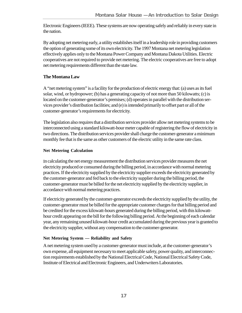Electronic Engineers (IEEE). These systems are now operating safely and reliably in every state in the nation.

By adopting net metering early, a utility establishes itself in a leadership role in providing customers the option of generating some of its own electricity. The 1997 Montana net metering legislation effectively applies only to the Montana Power Company and Montana Dakota Utilities. Electric cooperatives are not required to provide net metering. The electric cooperatives are free to adopt net metering requirements different than the state law.

# **The Montana Law**

A "net metering system" is a facility for the production of electric energy that: (a) uses as its fuel solar, wind, or hydropower; (b) has a generating capacity of not more than 50 kilowatts; (c) is located on the customer-generator's premises; (d) operates in parallel with the distribution services provider's distribution facilities; and (e) is intended primarily to offset part or all of the customer-generator's requirements for electricity.

The legislation also requires that a distribution services provider allow net metering systems to be interconnected using a standard kilowatt-hour meter capable of registering the flow of electricity in two directions. The distribution services provider shall charge the customer-generator a minimum monthly fee that is the same as other customers of the electric utility in the same rate class.

# **Net Metering Calculation**

In calculating the net energy measurement the distribution services provider measures the net electricity produced or consumed during the billing period, in accordance with normal metering practices. If the electricity supplied by the electricity supplier exceeds the electricity generated by the customer-generator and fed back to the electricity supplier during the billing period, the customer-generator must be billed for the net electricity supplied by the electricity supplier, in accordance with normal metering practices.

If electricity generated by the customer-generator exceeds the electricity supplied by the utility, the customer-generator must be billed for the appropriate customer charges for that billing period and be credited for the excess kilowatt-hours generated during the billing period, with this kilowatthour credit appearing on the bill for the following billing period. At the beginning of each calendar year, any remaining unused kilowatt-hour credit accumulated during the previous year is granted to the electricity supplier, without any compensation to the customer-generator.

# **Net Metering System — Reliability and Safety**

A net metering system used by a customer-generator must include, at the customer-generator's own expense, all equipment necessary to meet applicable safety, power quality, and interconnection requirements established by the National Electrical Code, National Electrical Safety Code, Institute of Electrical and Electronic Engineers, and Underwriters Laboratories.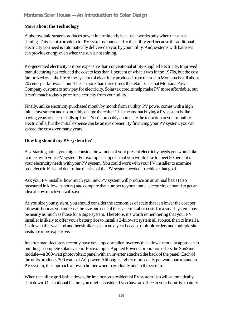# **More about the Technology**

A photovoltaic system produces power intermittently because it works only when the sun is shining. This is not a problem for PV systems connected to the utility grid because the additional electricity you need is automatically delivered to you by your utility. And, systems with batteries can provide energy even when the sun is not shining.

PV-generated electricity is more expensive than conventional utility-supplied electricity. Improved manufacturing has reduced the cost to less than 1 percent of what it was in the 1970s, but the cost (amortized over the life of the system) of electricity produced from the sun in Montana is still about 20 cents per kilowatt-hour. This is more than three times the retail price that Montana Power Company customers now pay for electricity. Solar tax credits help make PV more affordable, but it can't match today's price for electricity from your utility.

Finally, unlike electricity purchased month by month from a utility, PV power comes with a high initial investment and no monthly charge thereafter. This means that buying a PV system is like paying years of electric bills up front. You'll probably appreciate the reduction in your monthly electric bills, but the initial expense can be an eye opener. By financing your PV system, you can spread the cost over many years.

# **How big should my PV system be?**

As a starting point, you might consider how much of your present electricity needs you would like to meet with your PV system. For example, suppose that you would like to meet 50 percent of your electricity needs with your PV system. You could work with your PV installer to examine past electric bills and determine the size of the PV system needed to achieve that goal.

Ask your PV installer how much your new PV system will produce on an annual basis (also measured in kilowatt-hours) and compare that number to your annual electricity demand to get an idea of how much you will save.

As you size your system, you should consider the economies of scale that can lower the cost per kilowatt-hour as you increase the size and cost of the system. Labor costs for a small system may be nearly as much as those for a large system. Therefore, it's worth remembering that your PV installer is likely to offer you a better price to install a 2-kilowatt system all at once, than to install a 1-kilowatt this year and another similar system next year because multiple orders and multiple site visits are more expensive.

Inverter manufacturers recently have developed smaller inverters that allow a modular approach to building a complete solar system. For example, Applied Power Corporation offers the SunSine module—a 300-watt photovoltaic panel with an inverter attached the back of the panel. Each of the units produces 300 watts of AC power. Although slightly more costly per watt than a standard PV system, the approach allows a homeowner to gradually add to the system.

When the utility grid is shut down, the inverter on a residential PV system also will automatically shut down. One optional feature you might consider if you have an office in your home is a battery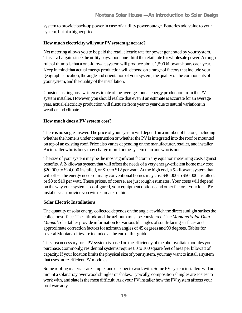system to provide back-up power in case of a utility power outage. Batteries add value to your system, but at a higher price.

## **How much electricity will your PV system generate?**

Net metering allows you to be paid the retail electric rate for power generated by your system. This is a bargain since the utility pays about one-third the retail rate for wholesale power. A rough rule of thumb is that a one-kilowatt system will produce about 1,500 kilowatt-hours each year. Keep in mind that actual energy production will depend on a range of factors that include your geographic location, the angle and orientation of your system, the quality of the components of your system, and the quality of the installation.

Consider asking for a written estimate of the average annual energy production from the PV system installer. However, you should realize that even if an estimate is accurate for an average year, actual electricity production will fluctuate from year to year due to natural variations in weather and climate.

### **How much does a PV system cost?**

There is no single answer. The price of your system will depend on a number of factors, including whether the home is under construction or whether the PV is integrated into the roof or mounted on top of an existing roof. Price also varies depending on the manufacturer, retailer, and installer. An installer who is busy may charge more for the system than one who is not.

The size of your system may be the most significant factor in any equation measuring costs against benefits. A 2-kilowatt system that will offset the needs of a very energy-efficient home may cost \$20,000 to \$24,000 installed, or \$10 to \$12 per watt. At the high end, a 5-kilowatt system that will offset the energy needs of many conventional homes may cost \$40,000 to \$50,000 installed, or \$8 to \$10 per watt. These prices, of course, are just rough estimates. Your costs will depend on the way your system is configured, your equipment options, and other factors. Your local PV installers can provide you with estimates or bids.

### **Solar Electric Installations**

The quantity of solar energy collected depends on the angle at which the direct sunlight strikes the collector surface. The altitude and the azimuth must be considered. The *Montana Solar Data Manual* solar tables provide information for various tilt angles of south-facing surfaces and approximate correction factors for azimuth angles of 45 degrees and 90 degrees. Tables for several Montana cities are included at the end of this guide.

The area necessary for a PV system is based on the efficiency of the photovoltaic modules you purchase. Commonly, residential systems require 80 to 100 square feet of area per kilowatt of capacity. If your location limits the physical size of your system, you may want to install a system that uses more efficient PV modules.

Some roofing materials are simpler and cheaper to work with. Some PV system installers will not mount a solar array over wood shingles or shakes. Typically, composition shingles are easiest to work with, and slate is the most difficult. Ask your PV installer how the PV system affects your roof warranty.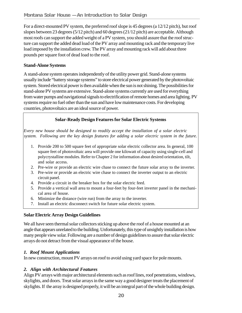For a direct-mounted PV system, the preferred roof slope is 45 degrees (a 12/12 pitch), but roof slopes between 23 degrees (5/12 pitch) and 60 degrees (21/12 pitch) are acceptable. Although most roofs can support the added weight of a PV system, you should assure that the roof structure can support the added dead load of the PV array and mounting rack and the temporary live load imposed by the installation crew. The PV array and mounting rack will add about three pounds per square foot of dead load to the roof.

# **Stand-Alone Systems**

A stand-alone system operates independently of the utility power grid. Stand-alone systems usually include "battery storage systems" to store electrical power generated by the photovoltaic system. Stored electrical power is then available when the sun is not shining. The possibilities for stand-alone PV systems are extensive. Stand-alone systems currently are used for everything from water pumps and navigational signals to electrification of remote homes and area lighting. PV systems require no fuel other than the sun and have low maintenance costs. For developing countries, photovoltaics are an ideal source of power.

# **Solar-Ready Design Features for Solar Electric Systems**

*Every new house should be designed to readily accept the installation of a solar electric system. Following are the key design features for adding a solar electric system in the future.*

- 1. Provide 200 to 500 square feet of appropriate solar electric collector area. In general, 100 square feet of photovoltaic area will provide one kilowatt of capacity using single-cell and polycrystalline modules. Refer to Chapter 2 for information about desired orientation, tilt, and solar access.
- 2. Pre-wire or provide an electric wire chase to connect the future solar array to the inverter.
- 3. Pre-wire or provide an electric wire chase to connect the inverter output to an electric circuit panel.
- 4. Provide a circuit in the breaker box for the solar electric feed.
- 5. Provide a vertical wall area to mount a four-feet by four-feet inverter panel in the mechanical area of house.
- 6. Minimize the distance (wire run) from the array to the inverter.
- 7. Install an electric disconnect switch for future solar electric system.

# **Solar Electric Array Design Guidelines**

We all have seen thermal solar collectors sticking up above the roof of a house mounted at an angle that appears unrelated to the building. Unfortunately, this type of unsightly installation is how many people view solar. Following are a number of design guidelines to assure that solar electric arrays do not detract from the visual appearance of the house.

# *1. Roof Mount Applications*

In new construction, mount PV arrays on roof to avoid using yard space for pole mounts.

# *2. Align with Architectural Features*

Align PV arrays with major architectural elements such as roof lines, roof penetrations, windows, skylights, and doors. Treat solar arrays in the same way a good designer treats the placement of skylights. If the array is designed properly, it will be an integral part of the whole building design.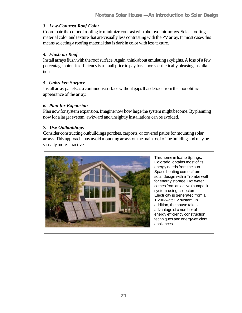# *3. Low-Contrast Roof Color*

Coordinate the color of roofing to minimize contrast with photovoltaic arrays. Select roofing material color and texture that are visually less contrasting with the PV array. In most cases this means selecting a roofing material that is dark in color with less texture.

# *4. Flush on Roof*

Install arrays flush with the roof surface. Again, think about emulating skylights. A loss of a few percentage points in efficiency is a small price to pay for a more aesthetically pleasing installation.

# *5. Unbroken Surface*

Install array panels as a continuous surface without gaps that detract from the monolithic appearance of the array.

### *6. Plan for Expansion*

Plan now for system expansion. Imagine now how large the system might become. By planning now for a larger system, awkward and unsightly installations can be avoided.

# *7. Use Outbuildings*

Consider constructing outbuildings porches, carports, or covered patios for mounting solar arrays. This approach may avoid mounting arrays on the main roof of the building and may be visually more attractive.



This home in Idaho Springs, Colorado, obtains most of its energy needs from the sun. Space heating comes from solar design with a Trombé wall for energy storage. Hot water comes from an active (pumped) system using collectors. Electricity is generated from a 1,200-watt PV system. In addition, the house takes advantage of a number of energy efficiency construction techniques and energy-efficient appliances.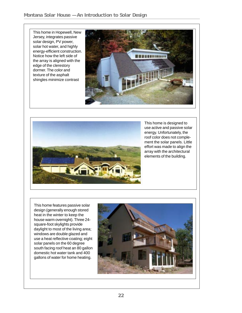This home in Hopewell, New Jersey, integrates passive solar design, PV power, solar hot water, and highly energy-efficient construction. Notice how the left side of the array is aligned with the edge of the clerestory dormer. The color and texture of the asphalt shingles minimize contrast





This home is designed to use active and passive solar energy. Unfortunately, the roof color does not complement the solar panels. Little effort was made to align the array with the architectural elements of the building.

This home features passive solar design (generally enough stored heat in the winter to keep the house warm overnight). Three 24 square-foot skylights provide daylight to most of the living area; windows are double glazed and use a heat reflective coating; eight solar panels on the 60 degree south facing roof heat an 80 gallon domestic hot water tank and 400 gallons of water for home heating.

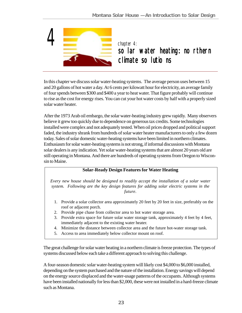

In this chapter we discuss solar water-heating systems. The average person uses between 15 and 20 gallons of hot water a day. At 6 cents per kilowatt hour for electricity, an average family of four spends between \$300 and \$400 a year to heat water. That figure probably will continue to rise as the cost for energy rises. You can cut your hot water costs by half with a properly sized solar water heater.

After the 1973 Arab oil embargo, the solar water-heating industry grew rapidly. Many observers believe it grew too quickly due to dependence on generous tax credits. Some technologies installed were complex and not adequately tested. When oil prices dropped and political support faded, the industry shrank from hundreds of solar water heater manufacturers to only a few dozen today. Sales of solar domestic water-heating systems have been limited in northern climates. Enthusiasm for solar water-heating systems is not strong, if informal discussions with Montana solar dealers is any indication. Yet solar water-heating systems that are almost 20 years old are still operating in Montana. And there are hundreds of operating systems from Oregon to Wisconsin to Maine.

### **Solar-Ready Design Features for Water Heating**

*Every new house should be designed to readily accept the installation of a solar water system. Following are the key design features for adding solar electric systems in the future.*

- 1. Provide a solar collector area approximately 20 feet by 20 feet in size, preferably on the roof or adjacent porch.
- 2. Provide pipe chase from collector area to hot water storage area.
- 3. Provide extra space for future solar water storage tank, approximately 4 feet by 4 feet, immediately adjacent to the existing water heater.
- 4. Minimize the distance between collector area and the future hot-water storage tank.
- 5. Access to area immediately below collector mount on roof.

The great challenge for solar water heating in a northern climate is freeze protection. The types of systems discussed below each take a different approach to solving this challenge.

A four-season domestic solar water-heating system will likely cost \$4,000 to \$6,000 installed, depending on the system purchased and the nature of the installation. Energy savings will depend on the energy source displaced and the water-usage patterns of the occupants. Although systems have been installed nationally for less than \$2,000, these were not installed in a hard-freeze climate such as Montana.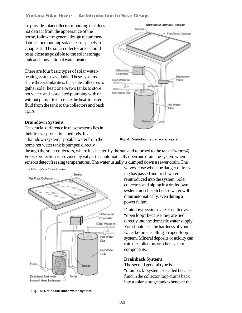To provide solar collector mounting that does not detract from the appearance of the house, follow the general design recommendations for mounting solar electric panels in Chapter 3. The solar collector area should be as close as possible to the solar storage tank and conventional water heater.

There are four basic types of solar waterheating systems available. These systems share three similarities: flat-plate collectors to gather solar heat; one or two tanks to store hot water; and associated plumbing with or without pumps to circulate the heat-transfer fluid from the tank to the collectors and back again.

#### **Draindown Systems**

The crucial difference in these systems lies in their freeze-protection methods. In a "draindown system," potable water from the home hot water tank is pumped directly



**Fig. 4: Draindown solar water system.**

through the solar collectors, where it is heated by the sun and returned to the tank *(Figure 4)*. Freeze protection is provided by valves that automatically open and drain the system when sensors detect freezing temperatures. The water usually is dumped down a sewer drain. The

North Carolina Solar Center Illustration



valves close when the danger of freezing has passed and fresh water is reintroduced into the system. Solar collectors and piping in a draindown system must be pitched so water will drain automatically, even during a power failure.

Draindown systems are classified as "open loop" because they are tied directly into the domestic water supply. You should test the hardness of your water before installing an open-loop system. Mineral deposits or acidity can ruin the collectors or other system components.

#### **Drainback Systems**

The second general type is a "drainback" system, so called because fluid in the collector loop drains back into a solar storage tank whenever the

**Fig. 5: Drainback solar water system.**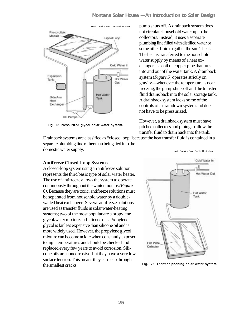

**Fig. 6: Pressurized glycol solar water system.**

Drainback systems are classified as "closed loop" because the heat transfer fluid is contained in a separate plumbing line rather than being tied into the domestic water supply.

### **Antifreeze Closed-Loop Systems**

A closed-loop system using an antifreeze solution represents the third basic type of solar water heater. The use of antifreeze allows the system to operate continuously throughout the winter months *(Figure 6)*. Because they are toxic, antifreeze solutions must be separated from household water by a doublewalled heat exchanger. Several antifreeze solutions are used as transfer fluids in solar water-heating systems; two of the most popular are a propylene glycol/water mixture and silicone oils. Propylene glycol is far less expensive than silicone oil and is more widely used. However, the propylene glycol mixture can become acidic when constantly exposed to high temperatures and should be checked and replaced every few years to avoid corrosion. Silicone oils are noncorrosive, but they have a very low surface tension. This means they can seep through the smallest cracks. **Fig. 7: Thermosiphoning solar water system.**

North Carolina Solar Center Illustration pump shuts off. A drainback system does not circulate household water up to the collectors. Instead, it uses a separate plumbing line filled with distilled water or some other fluid to gather the sun's heat. The heat is transferred to the household water supply by means of a heat exchanger—a coil of copper pipe that runs into and out of the water tank. A drainback system (*Figure 5*) operates strictly on gravity—whenever the temperature is near freezing, the pump shuts off and the transfer fluid drains back into the solar storage tank. A drainback system lacks some of the controls of a draindown system and does not have to be pressurized.

> However, a drainback system must have pitched collectors and piping to allow the transfer fluid to drain back into the tank.

> > North Carolina Solar Center Illustration

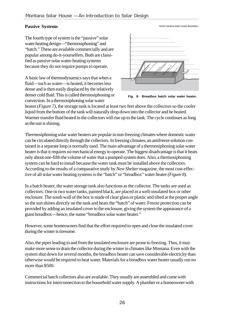#### **Passive Systems**

North Carolina Solar Center Illustration

The fourth type of system is the "passive" solar water heating design—"thermosiphoning" and "batch." These are available commercially and are popular among do-it-yourselfers. Both are classified as passive solar water-heating systems because they do not require pumps to operate.

A basic law of thermodynamics says that when a fluid—such as water—is heated, it becomes less dense and is then easily displaced by the relatively denser cold fluid. This is called thermosiphoning or convection. In a thermosiphoning solar water



**Fig. 8: Breadbox batch solar water heater.**

heater *(Figure 7)*, the storage tank is located at least two feet above the collectors so the cooler liquid from the bottom of the tank will naturally drop down into the collector and be heated. Warmer transfer fluid heated in the collectors will rise up to the tank. The cycle continues as long as the sun is shining.

Thermosiphoning solar water heaters are popular in non-freezing climates where domestic water can be circulated directly through the collectors. In freezing climates, an antifreeze solution contained in a separate loop is normally used. The main advantage of a thermosiphoning solar water heater is that it requires no mechanical energy to operate. The biggest disadvantage is that it heats only about one-fifth the volume of water that a pumped system does. Also, a thermosiphoning system can be hard to install because the water tank must be installed above the collectors. According to the results of a comparative study by *New Shelter* magazine, the most cost-effective of all solar water heating systems is the "batch" or "breadbox" water heater *(Figure 8)*.

In a batch heater, the water storage tank also functions as the collector. The tanks are used as collectors. One or two water tanks, painted black, are placed in a well-insulated box or other enclosure. The south wall of the box is made of clear glass or plastic and tilted at the proper angle so the sun shines directly on the tank and heats the "batch" of water. Freeze protection can be provided by adding an insulated cover to the enclosure, giving the system the appearance of a giant breadbox—hence, the name "breadbox solar water heater."

However, some homeowners find that the effort required to open and close the insulated cover during the winter is tiresome.

Also, the pipes leading to and from the insulated enclosure are prone to freezing. Thus, it may make more sense to drain the collector during the winter in climates like Montana. Even with the system shut down for several months, the breadbox heater can save considerable electricity than otherwise would be required to heat water. Materials for a breadbox water heater usually run no more than \$500.

Commercial batch collectors also are available. They usually are assembled and come with instructions for interconnection to the household water supply. A plumber or a homeowner with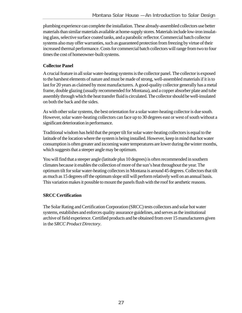plumbing experience can complete the installation. These already-assembled collectors use better materials than similar materials available at home-supply stores. Materials include low-iron insulating glass, selective surface coated tanks, and a parabolic reflector. Commercial batch collector systems also may offer warranties, such as guaranteed protection from freezing by virtue of their increased thermal performance. Costs for commercial batch collectors will range from two to four times the cost of homeowner-built systems.

# **Collector Panel**

A crucial feature in all solar water-heating systems is the collector panel. The collector is exposed to the harshest elements of nature and must be made of strong, well-assembled materials if it is to last for 20 years as claimed by most manufacturers. A good-quality collector generally has a metal frame, double glazing (usually recommended for Montana), and a copper absorber plate and tube assembly through which the heat transfer fluid is circulated. The collector should be well-insulated on both the back and the sides.

As with other solar systems, the best orientation for a solar water-heating collector is due south. However, solar water-heating collectors can face up to 30 degrees east or west of south without a significant deterioration in performance.

Traditional wisdom has held that the proper tilt for solar water-heating collectors is equal to the latitude of the location where the system is being installed. However, keep in mind that hot water consumption is often greater and incoming water temperatures are lower during the winter months, which suggests that a steeper angle may be optimum.

You will find that a steeper angle (latitude plus 10 degrees) is often recommended in southern climates because it enables the collection of more of the sun's heat throughout the year. The optimum tilt for solar water-heating collectors in Montana is around 45 degrees. Collectors that tilt as much as 15 degrees off the optimum slope still will perform relatively well on an annual basis. This variation makes it possible to mount the panels flush with the roof for aesthetic reasons.

### **SRCC Certification**

The Solar Rating and Certification Corporation (SRCC) tests collectors and solar hot water systems, establishes and enforces quality assurance guidelines, and serves as the institutional archive of field experience. Certified products and be obtained from over 15 manufacturers given in the *SRCC Product Directory*.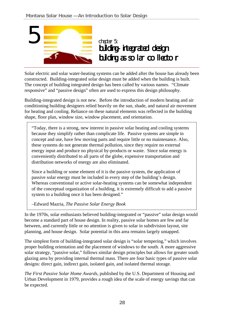

Solar electric and solar water-heating systems can be added after the house has already been constructed. Building-integrated solar design must be added when the building is built. The concept of building integrated design has been called by various names. "Climate responsive" and "passive design" often are used to express this design philosophy.

Building-integrated design is not new. Before the introduction of modern heating and air conditioning building designers relied heavily on the sun, shade, and natural air movement for heating and cooling. Reliance on these natural elements was reflected in the building shape, floor plan, window size, window placement, and orientation.

"Today, there is a strong, new interest in passive solar heating and cooling systems because they simplify rather than complicate life. Passive systems are simple in concept and use, have few moving parts and require little or no maintenance. Also, these systems do not generate thermal pollution, since they require no external energy input and produce no physical by-products or waste. Since solar energy is conveniently distributed to all parts of the globe, expensive transportation and distribution networks of energy are also eliminated.

Since a building or some element of it is the passive system, the application of passive solar energy must be included in every step of the building's design. Whereas conventional or active solar-heating systems can be somewhat independent of the conceptual organization of a building, it is extremely difficult to add a passive system to a building once it has been designed."

–Edward Mazria, *The Passive Solar Energy Book*

In the 1970s, solar enthusiasts believed building-integrated or "passive" solar design would become a standard part of house design. In reality, passive solar homes are few and far between, and currently little or no attention is given to solar in subdivision layout, site planning, and house design. Solar potential in this area remains largely untapped.

The simplest form of building-integrated solar design is "solar tempering," which involves proper building orientation and the placement of windows to the south. A more aggressive solar strategy, "passive solar," follows similar design principles but allows for greater south glazing area by providing internal thermal mass. There are four basic types of passive solar designs: direct gain, indirect gain, isolated gain, and isolated thermal storage.

*The First Passive Solar Home Awards,* published by the U.S. Department of Housing and Urban Development in 1979, provides a rough idea of the scale of energy savings that can be expected.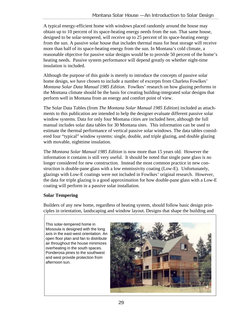A typical energy-efficient home with windows placed randomly around the house may obtain up to 10 percent of its space-heating energy needs from the sun. That same house, designed to be solar-tempered, will receive up to 25 percent of its space-heating energy from the sun. A passive solar house that includes thermal mass for heat storage will receive more than half of its space-heating energy from the sun. In Montana's cold climate, a reasonable objective for passive solar designs would be to provide 50 percent of the home's heating needs. Passive system performance will depend greatly on whether night-time insulation is included.

Although the purpose of this guide is merely to introduce the concepts of passive solar home design, we have chosen to include a number of excerpts from Charless Fowlkes' *Montana Solar Data Manual 1985 Edition.* Fowlkes' research on how glazing performs in the Montana climate should be the basis for creating building-integrated solar designs that perform well in Montana from an energy and comfort point of view.

The Solar Data Tables (from *The Montana Solar Manual 1985 Edition*) included as attachments to this publication are intended to help the designer evaluate different passive solar window systems. Data for only four Montana cities are included here, although the full manual includes solar data tables for 30 Montana sites. This information can be used to estimate the thermal performance of vertical passive solar windows*.* The data tables considered four "typical" window systems: single, double, and triple glazing, and double glazing with movable, nighttime insulation.

The *Montana Solar Manual 1985 Edition* is now more than 15 years old. However the information it contains is still very useful. It should be noted that single pane glass is no longer considered for new construction. Instead the most common practice in new construction is double-pane glass with a low emmissivity coating (Low-E). Unfortunately, glazings with Low-E coatings were not included in Fowlkes' original research. However, the data for triple glazing is a good approximation for how double-pane glass with a Low-E coating will perform in a passive solar installation.

# **Solar Tempering**

Builders of any new home, regardless of heating system, should follow basic design principles in orientation, landscaping and window layout. Designs that shape the building and

This solar-tempered home in Missoula is designed with the long axis in the east-west orientation. An open floor plan and fan to distribute air throughout the house minimizes overheating in the south spaces. Ponderosa pines to the southwest and west provide protection from afternoon sun.

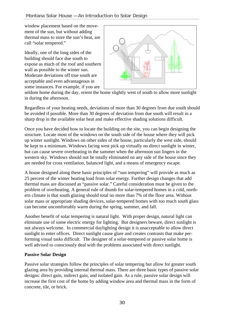window placement based on the movement of the sun, but without adding thermal mass to store the sun's heat, are call "solar tempered."

Ideally, one of the long sides of the building should face due south to expose as much of the roof and southern wall as possible to the winter sun. Moderate deviations off true south are acceptable and even advantageous in some instances. For example, if you are



seldom home during the day, orient the home slightly west of south to allow more sunlight in during the afternoon.

Regardless of your heating needs, deviations of more than 30 degrees from due south should be avoided if possible. More than 30 degrees of deviation from due south will result in a sharp drop in the available solar heat and make effective shading solutions difficult.

Once you have decided how to locate the building on the site, you can begin designing the structure. Locate most of the windows on the south side of the house where they will pick up winter sunlight. Windows on other sides of the house, particularly the west side, should be kept to a minimum. Windows facing west pick up virtually no direct sunlight in winter, but can cause severe overheating in the summer when the afternoon sun lingers in the western sky. Windows should not be totally eliminated on any side of the house since they are needed for cross ventilation, balanced light, and a means of emergency escape.

A house designed along these basic principles of "sun tempering" will provide as much as 25 percent of the winter heating load from solar energy. Further design changes that add thermal mass are discussed as "passive solar." Careful consideration must be given to the problem of overheating. A general rule of thumb for solar-tempered homes in a cold, northern climate is that south glazing should total no more than 7% of the floor area. Without solar mass or appropriate shading devices, solar-tempered homes with too much south glass can become uncomfortably warm during the spring, summer, and fall.

Another benefit of solar tempering is natural light. With proper design, natural light can eliminate use of some electric energy for lighting. But designers beware, direct sunlight is not always welcome. In commercial daylighting design it is unacceptable to allow direct sunlight to enter offices. Direct sunlight cause glare and creates contrasts that make performing visual tasks difficult. The designer of a solar-tempered or passive solar home is well advised to consciously deal with the problems associated with direct sunlight.

### **Passive Solar Design**

Passive solar strategies follow the principles of solar tempering but allow for greater south glazing area by providing internal thermal mass. There are three basic types of passive solar designs: direct gain, indirect gain, and isolated gain. As a rule, passive solar design will increase the first cost of the home by adding window area and thermal mass in the form of concrete, tile, or brick.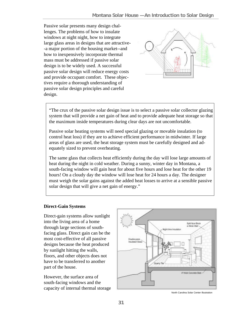Passive solar presents many design challenges. The problems of how to insulate windows at night night, how to integrate large glass areas in designs that are attractive- -a major portion of the housing market--and how to inexpensively incorporate thermal mass must be addressed if passive solar design is to be widely used. A successful passive solar design will reduce energy costs and provide occupant comfort. These objectives require a thorough understanding of passive solar design principles and careful design.



"The crux of the passive solar design issue is to select a passive solar collector glazing system that will provide a net gain of heat and to provide adequate heat storage so that the maximum inside temperatures during clear days are not uncomfortable.

Passive solar heating systems will need special glazing or movable insulation (to control heat loss) if they are to achieve efficient performance in midwinter. If large areas of glass are used, the heat storage system must be carefully designed and adequately sized to prevent overheating.

The same glass that collects heat efficiently during the day will lose large amounts of heat during the night in cold weather. During a sunny, winter day in Montana, a south-facing window will gain heat for about five hours and lose heat for the other 19 hours! On a cloudy day the window will lose heat for 24 hours a day. The designer must weigh the solar gains against the added heat losses to arrive at a sensible passive solar design that will give a net gain of energy."

### **Direct-Gain Systems**

Direct-gain systems allow sunlight into the living area of a home through large sections of southfacing glass. Direct gain can be the most cost-effective of all passive designs because the heat produced by sunlight hitting the walls, floors, and other objects does not have to be transferred to another part of the house.

However, the surface area of south-facing windows and the capacity of internal thermal storage



North Carolina Solar Center Illustration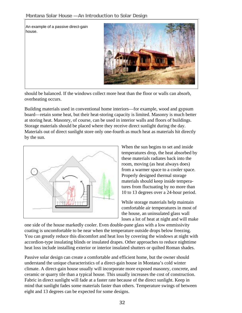An example of a passive direct-gain house.



should be balanced. If the windows collect more heat than the floor or walls can absorb, overheating occurs.

Building materials used in conventional home interiors—for example, wood and gypsum board—retain some heat, but their heat-storing capacity is limited. Masonry is much better at storing heat. Masonry, of course, can be used in interior walls and floors of buildings. Storage materials should be placed where they receive direct sunlight during the day. Materials out of direct sunlight store only one-fourth as much heat as materials hit directly by the sun.



When the sun begins to set and inside temperatures drop, the heat absorbed by these materials radiates back into the room, moving (as heat always does) from a warmer space to a cooler space. Properly designed thermal storage materials should keep inside temperatures from fluctuating by no more than 10 to 13 degrees over a 24-hour period.

While storage materials help maintain comfortable air temperatures in most of the house, an uninsulated glass wall loses a lot of heat at night and will make

one side of the house markedly cooler. Even double-pane glass with a low emmissivity coating is uncomfortable to be near when the temperature outside drops below freezing. You can greatly reduce this discomfort and heat loss by covering the windows at night with accordion-type insulating blinds or insulated drapes. Other approaches to reduce nighttime heat loss include installing exterior or interior insulated shutters or quilted Roman shades.

Passive solar design can create a comfortable and efficient home, but the owner should understand the unique characteristics of a direct-gain house in Montana's cold winter climate. A direct-gain house usually will incorporate more exposed masonry, concrete, and ceramic or quarry tile than a typical house. This usually increases the cost of construction. Fabric in direct sunlight will fade at a faster rate because of the direct sunlight. Keep in mind that sunlight fades some materials faster than others. Temperature swings of between eight and 13 degrees can be expected for some designs.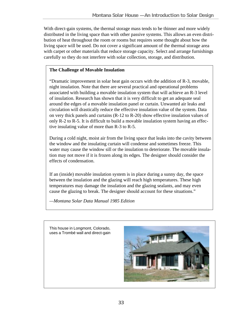With direct-gain systems, the thermal storage mass tends to be thinner and more widely distributed in the living space than with other passive systems. This allows an even distribution of heat throughout the room or rooms but requires some thought about how the living space will be used. Do not cover a significant amount of the thermal storage area with carpet or other materials that reduce storage capacity. Select and arrange furnishings carefully so they do not interfere with solar collection, storage, and distribution.

# **The Challenge of Movable Insulation**

"Dramatic improvement in solar heat gain occurs with the addition of R-3, movable, night insulation. Note that there are several practical and operational problems associated with building a movable insulation system that will achieve an R-3 level of insulation. Research has shown that it is very difficult to get an adequate seal around the edges of a movable insulation panel or curtain. Unwanted air leaks and circulation will drastically reduce the effective insulation value of the system. Data on very thick panels and curtains (R-12 to R-20) show effective insulation values of only R-2 to R-5. It is difficult to build a movable insulation system having an effective insulating value of more than R-3 to R-5.

During a cold night, moist air from the living space that leaks into the cavity between the window and the insulating curtain will condense and sometimes freeze. This water may cause the window sill or the insulation to deteriorate. The movable insulation may not move if it is frozen along its edges. The designer should consider the effects of condensation.

If an (inside) movable insulation system is in place during a sunny day, the space between the insulation and the glazing will reach high temperatures. These high temperatures may damage the insulation and the glazing sealants, and may even cause the glazing to break. The designer should account for these situations."

*—Montana Solar Data Manual 1985 Edition*

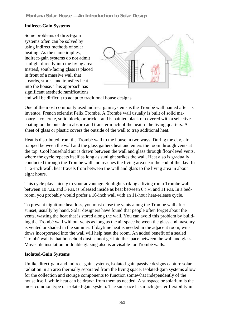## **Indirect-Gain Systems**

Some problems of direct-gain systems often can be solved by using indirect methods of solar heating. As the name implies, indirect-gain systems do not admit sunlight directly into the living area. Instead, south-facing glass is placed in front of a massive wall that absorbs, stores, and transfers heat into the house. This approach has significant aesthetic ramifications



and will be difficult to adapt to traditional house designs.

One of the most commonly used indirect gain systems is the Trombé wall named after its inventor, French scientist Felix Trombé. A Trombé wall usually is built of solid masonry—concrete, solid block, or brick—and is painted black or covered with a selective coating on the outside to absorb and transfer much of the heat to the living quarters. A sheet of glass or plastic covers the outside of the wall to trap additional heat.

Heat is distributed from the Trombé wall to the house in two ways. During the day, air trapped between the wall and the glass gathers heat and enters the room through vents at the top. Cool household air is drawn between the wall and glass through floor-level vents, where the cycle repeats itself as long as sunlight strikes the wall. Heat also is gradually conducted through the Trombé wall and reaches the living area near the end of the day. In a 12-inch wall, heat travels from between the wall and glass to the living area in about eight hours.

This cycle plays nicely to your advantage. Sunlight striking a living room Trombé wall between 10 A.M. and 3 P.M. is released inside as heat between 6 P.M. and 11 P.M. In a bedroom, you probably would prefer a 16-inch wall with an 11-hour heat-release cycle.

To prevent nighttime heat loss, you must close the vents along the Trombé wall after sunset, usually by hand. Solar designers have found that people often forget about the vents, wasting the heat that is stored along the wall. You can avoid this problem by building the Trombé wall without vents as long as the air space between the glass and masonry is vented or shaded in the summer. If daytime heat is needed in the adjacent room, windows incorporated into the wall will help heat the room. An added benefit of a sealed Trombé wall is that household dust cannot get into the space between the wall and glass. Moveable insulation or double glazing also is advisable for Trombé walls.

### **Isolated-Gain Systems**

Unlike direct-gain and indirect-gain systems, isolated-gain passive designs capture solar radiation in an area thermally separated from the living space. Isolated-gain systems allow for the collection and storage components to function somewhat independently of the house itself, while heat can be drawn from them as needed. A sunspace or solarium is the most common type of isolated-gain system. The sunspace has much greater flexibility in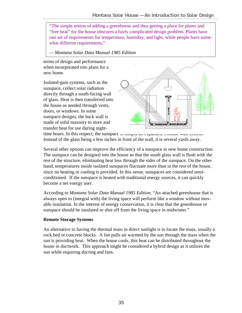"The simple notion of adding a greenhouse and thus getting a place for plants and "free heat" for the house obscures a fairly complicated design problem. Plants have one set of requirements for temperature, humidity, and light, while people have somewhat different requirements."

*— Montana Solar Data Manual 1985 Edition*

terms of design and performance when incorporated into plans for a new home.

Isolated-gain systems, such as the sunspace, collect solar radiation directly through a south-facing wall of glass. Heat is then transferred into the house as needed through vents, doors, or windows. In some sunspace designs, the back wall is made of solid masonry to store and transfer heat for use during night-



time hours. In this respect, the sunspace is simply an expanded Trombé wall system. Instead of the glass being a few inches in front of the wall, it is several yards away.

Several other options can improve the efficiency of a sunspace in new home construction. The sunspace can be designed into the house so that the south glass wall is flush with the rest of the structure, eliminating heat loss through the sides of the sunspace. On the other hand, temperatures inside isolated sunspaces fluctuate more than in the rest of the house, since no heating or cooling is provided. In this sense, sunspaces are considered semiconditioned. If the sunspace is heated with traditional energy sources, it can quickly become a net energy user.

According to *Montana Solar Data Manual 1985 Edition,* "An attached greenhouse that is always open to (integral with) the living space will perform like a window without movable insulation. In the interest of energy conservation, it is clear that the greenhouse or sunspace should be insulated or shut off from the living space in midwinter."

### **Remote Storage Systems**

An alternative to having the thermal mass in direct sunlight is to locate the mass, usually a rock bed or concrete blocks. A fan pulls air warmed by the sun through the mass when the sun is providing heat. When the house cools, this heat can be distributed throughout the house in ductwork. This approach might be considered a hybrid design as it utilizes the sun while requiring ducting and fans.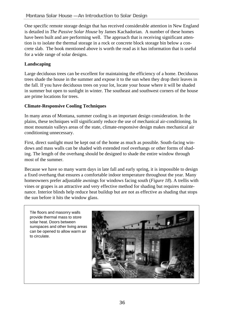One specific remote storage design that has received considerable attention in New England is detailed in *The Passive Solar House* by James Kachadorian. A number of these homes have been built and are performing well. The approach that is receiving significant attention is to isolate the thermal storage in a rock or concrete block storage bin below a concrete slab. The book mentioned above is worth the read as it has information that is useful for a wide range of solar designs.

# **Landscaping**

Large deciduous trees can be excellent for maintaining the efficiency of a home. Deciduous trees shade the house in the summer and expose it to the sun when they drop their leaves in the fall. If you have deciduous trees on your lot, locate your house where it will be shaded in summer but open to sunlight in winter. The southeast and southwest corners of the house are prime locations for trees.

# **Climate-Responsive Cooling Techniques**

In many areas of Montana, summer cooling is an important design consideration. In the plains, these techniques will significantly reduce the use of mechanical air-conditioning. In most mountain valleys areas of the state, climate-responsive design makes mechanical air conditioning unnecessary.

First, direct sunlight must be kept out of the home as much as possible. South-facing windows and mass walls can be shaded with extended roof overhangs or other forms of shading. The length of the overhang should be designed to shade the entire window through most of the summer.

Because we have so many warm days in late fall and early spring, it is impossible to design a fixed overhang that ensures a comfortable indoor temperature throughout the year. Many homeowners prefer adjustable awnings for windows facing south (*Figure 18*). A trellis with vines or grapes is an attractive and very effective method for shading but requires maintenance. Interior blinds help reduce heat buildup but are not as effective as shading that stops the sun before it hits the window glass.

Tile floors and masonry walls provide thermal mass to store solar heat. Doors between sunspaces and other living areas can be opened to allow warm air to circulate.

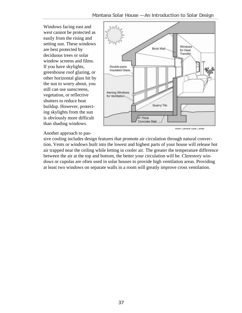Windows facing east and west cannot be protected as easily from the rising and setting sun. These windows are best protected by deciduous trees or solar window screens and films. If you have skylights, greenhouse roof glazing, or other horizontal glass hit by the sun to worry about, you still can use sunscreens, vegetation, or reflective shutters to reduce heat buildup. However, protecting skylights from the sun is obviously more difficult than shading windows.



#### Another approach to pas-

sive cooling includes design features that promote air circulation through natural convection. Vents or windows built into the lowest and highest parts of your house will release hot air trapped near the ceiling while letting in cooler air. The greater the temperature difference between the air at the top and bottom, the better your circulation will be. Clerestory windows or cupolas are often used in solar houses to provide high ventilation areas. Providing at least two windows on separate walls in a room will greatly improve cross ventilation.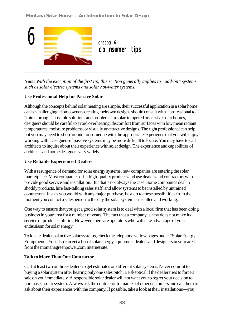

*Note: With the exception of the first tip, this section generally applies to "add-on" systems such as solar electric systems and solar hot-water systems.*

# **Use Professional Help for Passive Solar**

Although the concepts behind solar heating are simple, their successful application in a solar home can be challenging. Homeowners creating their own designs should consult with a professional to "think through" possible solutions and problems. In solar-tempered or passive solar homes, designers should be careful to avoid overheating, discomfort from surfaces with low mean radiant temperatures, moisture problems, or visually unattractive designs. The right professional can help, but you may need to shop around for someone with the appropriate experience that you will enjoy working with. Designers of passive systems may be more difficult to locate. You may have to call architects to inquire about their experience with solar design. The experience and capabilities of architects and home designers vary widely.

### **Use Reliable Experienced Dealers**

With a resurgence of demand for solar energy systems, new companies are entering the solar marketplace. Most companies offer high-quality products and use dealers and contractors who provide good service and installation. But that's not always the case. Some companies deal in shoddy products, hire fast-talking sales staff, and allow systems to be installed by untrained contractors. Just as you would with any major purchase, be alert to these possibilities from the moment you contact a salesperson to the day the solar system is installed and working.

One way to ensure that you get a good solar system is to deal with a local firm that has been doing business in your area for a number of years. The fact that a company is new does not make its service or products inferior. However, there are operators who will take advantage of your enthusiasm for solar energy.

To locate dealers of active solar systems, check the telephone yellow pages under "Solar Energy Equipment." You also can get a list of solar energy equipment dealers and designers in your area from the montanagreenpower.com Internet site.

# **Talk to More Than One Contractor**

Call at least two or three dealers to get estimates on different solar systems. Never commit to buying a solar system after hearing only one sales pitch. Be skeptical if the dealer tries to force a sale on you immediately. A responsible solar dealer will not want you to regret your decision to purchase a solar system. Always ask the contractor for names of other customers and call them to ask about their experiences with the company. If possible, take a look at their installations—you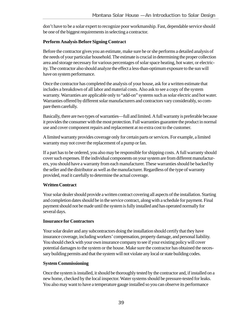don't have to be a solar expert to recognize poor workmanship. Fast, dependable service should be one of the biggest requirements in selecting a contractor.

## **Perform Analysis Before Signing Contract**

Before the contractor gives you an estimate, make sure he or she performs a detailed analysis of the needs of your particular household. The estimate is crucial in determining the proper collection area and storage necessary for various percentages of solar space heating, hot water, or electricity. The contractor also should analyze the effect a less-than-optimum exposure to the sun will have on system performance.

Once the contractor has completed the analysis of your house, ask for a written estimate that includes a breakdown of all labor and material costs. Also ask to see a copy of the system warranty. Warranties are applicable only to "add-on" systems such as solar electric and hot water. Warranties offered by different solar manufacturers and contractors vary considerably, so compare them carefully.

Basically, there are two types of warranties—full and limited. A full warranty is preferable because it provides the consumer with the most protection. Full warranties guarantee the product in normal use and cover component repairs and replacement at no extra cost to the customer.

A limited warranty provides coverage only for certain parts or services. For example, a limited warranty may not cover the replacement of a pump or fan.

If a part has to be ordered, you also may be responsible for shipping costs. A full warranty should cover such expenses. If the individual components on your system are from different manufacturers, you should have a warranty from each manufacturer. These warranties should be backed by the seller and the distributor as well as the manufacturer. Regardless of the type of warranty provided, read it carefully to determine the actual coverage.

### **Written Contract**

Your solar dealer should provide a written contract covering all aspects of the installation. Starting and completion dates should be in the service contract, along with a schedule for payment. Final payment should not be made until the system is fully installed and has operated normally for several days.

### **Insurance for Contractors**

Your solar dealer and any subcontractors doing the installation should certify that they have insurance coverage, including workers' compensation, property damage, and personal liability. You should check with your own insurance company to see if your existing policy will cover potential damages to the system or the house. Make sure the contractor has obtained the necessary building permits and that the system will not violate any local or state building codes.

### **System Commissioning**

Once the system is installed, it should be thoroughly tested by the contractor and, if installed on a new home, checked by the local inspector. Water systems should be pressure-tested for leaks. You also may want to have a temperature gauge installed so you can observe its performance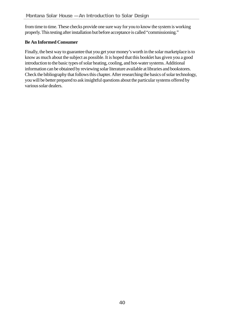from time to time. These checks provide one sure way for you to know the system is working properly. This testing after installation but before acceptance is called "commissioning."

# **Be An Informed Consumer**

Finally, the best way to guarantee that you get your money's worth in the solar marketplace is to know as much about the subject as possible. It is hoped that this booklet has given you a good introduction to the basic types of solar heating, cooling, and hot-water systems. Additional information can be obtained by reviewing solar literature available at libraries and bookstores. Check the bibliography that follows this chapter. After researching the basics of solar technology, you will be better prepared to ask insightful questions about the particular systems offered by various solar dealers.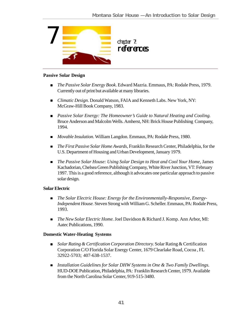

#### **Passive Solar Design**

- ! *The Passive Solar Energy Book*. Edward Mazria. Emmaus, PA: Rodale Press, 1979. Currently out of print but available at many libraries.
- ! *Climatic Design*. Donald Watson, FAIA and Kenneth Labs. New York, NY: McGraw-Hill Book Company, 1983.
- ! *Passive Solar Energy: The Homeowner's Guide to Natural Heating and Cooling.* Bruce Anderson and Malcolm Wells. Amherst, NH: Brick House Publishing Company, 1994.
- *Movable Insulation*. William Langdon. Emmaus, PA: Rodale Press, 1980.
- ! *The First Passive Solar Home Awards*, Franklin Research Center, Philadelphia, for the U.S. Department of Housing and Urban Development, January 1979.
- **I.** The Passive Solar House: Using Solar Design to Heat and Cool Your Home, James Kachadorian, Chelsea Green Publishing Company, White River Junction, VT: February 1997. This is a good reference, although it advocates one particular approach to passive solar design*.*

### **Solar Electric**

- ! *The Solar Electric House: Energy for the Environmentally-Responsive, Energy-Independent House.* Steven Strong with William G. Scheller. Emmaus, PA: Rodale Press, 1993.
- ! *The New Solar Electric Home.* Joel Davidson & Richard J. Komp. Ann Arbor, MI: Aatec Publications, 1990.

### **Domestic Water-Heating Systems**

- ! *Solar Rating & Certification Corporation Directory.* Solar Rating & Certification Corporation C/O Florida Solar Energy Center, 1679 Clearlake Road, Cocoa , FL 32922-5703; 407-638-1537.
- ! *Installation Guidelines for Solar DHW Systems in One & Two Family Dwellings.* HUD-DOE Publication, Philadelphia, PA: Franklin Research Center, 1979. Available from the North Carolina Solar Center, 919-515-3480.